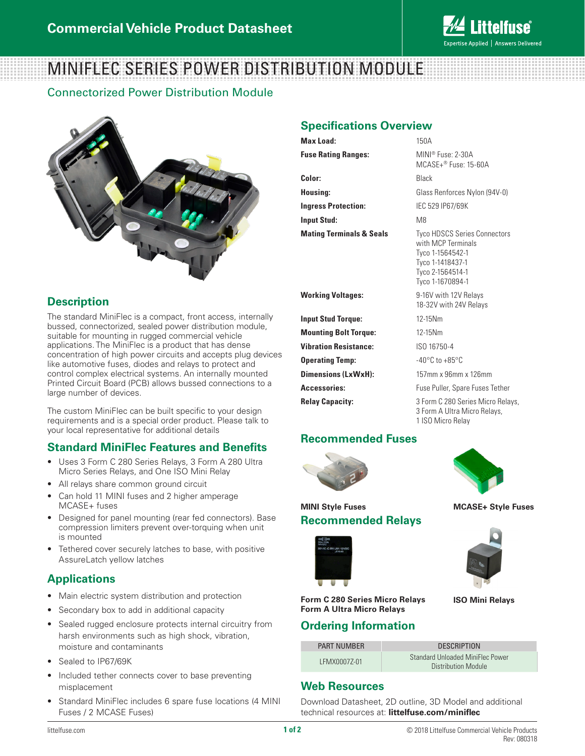

# MINIFLEC SERIES POWER DISTRIBUTION MODULE

Connectorized Power Distribution Module



### **Description**

The standard MiniFlec is a compact, front access, internally bussed, connectorized, sealed power distribution module, suitable for mounting in rugged commercial vehicle applications. The MiniFlec is a product that has dense concentration of high power circuits and accepts plug devices like automotive fuses, diodes and relays to protect and control complex electrical systems. An internally mounted Printed Circuit Board (PCB) allows bussed connections to a large number of devices.

The custom MiniFlec can be built specific to your design requirements and is a special order product. Please talk to your local representative for additional details

#### **Standard MiniFlec Features and Benefits**

- Uses 3 Form C 280 Series Relays, 3 Form A 280 Ultra Micro Series Relays, and One ISO Mini Relay
- All relays share common ground circuit
- Can hold 11 MINI fuses and 2 higher amperage MCASE+ fuses
- Designed for panel mounting (rear fed connectors). Base compression limiters prevent over-torquing when unit is mounted
- Tethered cover securely latches to base, with positive AssureLatch yellow latches

#### **Applications**

- Main electric system distribution and protection
- Secondary box to add in additional capacity
- Sealed rugged enclosure protects internal circuitry from harsh environments such as high shock, vibration, moisture and contaminants
- Sealed to IP67/69K
- Included tether connects cover to base preventing misplacement
- Standard MiniFlec includes 6 spare fuse locations (4 MINI Fuses / 2 MCASE Fuses)

# **Specifications Overview**

| Max Load:                           | 150A                                                                                                                                      |
|-------------------------------------|-------------------------------------------------------------------------------------------------------------------------------------------|
| <b>Fuse Rating Ranges:</b>          | $MINI® Fuse: 2-30A$<br>MCASE+® Fuse: 15-60A                                                                                               |
| Color:                              | Black                                                                                                                                     |
| Housing:                            | Glass Renforces Nylon (94V-0)                                                                                                             |
| <b>Ingress Protection:</b>          | IEC 529 IP67/69K                                                                                                                          |
| Input Stud:                         | M8                                                                                                                                        |
| <b>Mating Terminals &amp; Seals</b> | <b>Tyco HDSCS Series Connectors</b><br>with MCP Terminals<br>Tyco 1-1564542-1<br>Tyco 1-1418437-1<br>Tyco 2-1564514-1<br>Tyco 1-1670894-1 |
| <b>Working Voltages:</b>            | 9-16V with 12V Relays<br>18-32V with 24V Relays                                                                                           |
| <b>Input Stud Torque:</b>           | 12-15Nm                                                                                                                                   |
| <b>Mounting Bolt Torque:</b>        | 12-15Nm                                                                                                                                   |
| <b>Vibration Resistance:</b>        | ISO 16750-4                                                                                                                               |
| <b>Operating Temp:</b>              | $-40^{\circ}$ C to $+85^{\circ}$ C                                                                                                        |
|                                     |                                                                                                                                           |

**Dimensions (LxWxH):** 157mm x 96mm x 126mm

Accessories: **Accessories:** Fuse Puller, Spare Fuses Tether

**Relay Capacity:** 3 Form C 280 Series Micro Relays, 3 Form A Ultra Micro Relays, 1 ISO Micro Relay

#### **Recommended Fuses**



**MINI Style Fuses**



**MCASE+ Style Fuses**



**ISO Mini Relays**

#### **Form C 280 Series Micro Relays Form A Ultra Micro Relays**

**Recommended Relays**

#### **Ordering Information**

| <b>PART NUMBER</b> | <b>DESCRIPTION</b>                                      |
|--------------------|---------------------------------------------------------|
| LEMX00077-01       | Standard Unloaded MiniFlec Power<br>Distribution Module |

#### **Web Resources**

Download Datasheet, 2D outline, 3D Model and additional technical resources at: **littelfuse.com/miniflec**